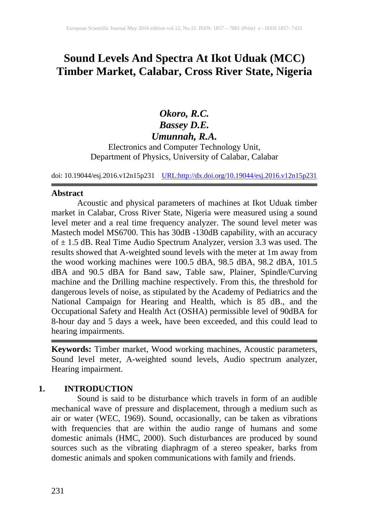# **Sound Levels And Spectra At Ikot Uduak (MCC) Timber Market, Calabar, Cross River State, Nigeria**

# *Okoro, R.C. Bassey D.E. Umunnah, R.A.* Electronics and Computer Technology Unit, Department of Physics, University of Calabar, Calabar

doi: 10.19044/esj.2016.v12n15p231 [URL:http://dx.doi.org/10.19044/esj.2016.v12n15p231](http://dx.doi.org/10.19044/esj.2016.v12n15p231)

#### **Abstract**

Acoustic and physical parameters of machines at Ikot Uduak timber market in Calabar, Cross River State, Nigeria were measured using a sound level meter and a real time frequency analyzer. The sound level meter was Mastech model MS6700. This has 30dB -130dB capability, with an accuracy of  $\pm$  1.5 dB. Real Time Audio Spectrum Analyzer, version 3.3 was used. The results showed that A-weighted sound levels with the meter at 1m away from the wood working machines were 100.5 dBA, 98.5 dBA, 98.2 dBA, 101.5 dBA and 90.5 dBA for Band saw, Table saw, Plainer, Spindle/Curving machine and the Drilling machine respectively. From this, the threshold for dangerous levels of noise, as stipulated by the Academy of Pediatrics and the National Campaign for Hearing and Health, which is 85 dB., and the Occupational Safety and Health Act (OSHA) permissible level of 90dBA for 8-hour day and 5 days a week, have been exceeded, and this could lead to hearing impairments.

**Keywords:** Timber market, Wood working machines, Acoustic parameters, Sound level meter, A-weighted sound levels, Audio spectrum analyzer, Hearing impairment.

# **1. INTRODUCTION**

Sound is said to be disturbance which travels in form of an audible mechanical wave of pressure and displacement, through a medium such as air or water (WEC, 1969). Sound, occasionally, can be taken as vibrations with frequencies that are within the audio range of humans and some domestic animals (HMC, 2000). Such disturbances are produced by sound sources such as the vibrating diaphragm of a stereo speaker, barks from domestic animals and spoken communications with family and friends.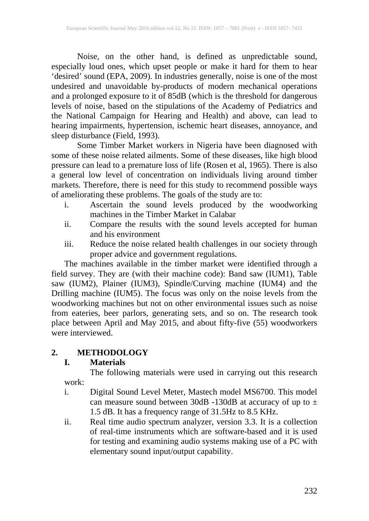Noise, on the other hand, is defined as unpredictable sound, especially loud ones, which upset people or make it hard for them to hear 'desired' sound (EPA, 2009). In industries generally, noise is one of the most undesired and unavoidable by-products of modern mechanical operations and a prolonged exposure to it of 85dB (which is the threshold for dangerous levels of noise, based on the stipulations of the Academy of Pediatrics and the National Campaign for Hearing and Health) and above, can lead to hearing impairments, hypertension, ischemic heart diseases, annoyance, and sleep disturbance (Field, 1993).

Some Timber Market workers in Nigeria have been diagnosed with some of these noise related ailments. Some of these diseases, like high blood pressure can lead to a premature loss of life (Rosen et al, 1965). There is also a general low level of concentration on individuals living around timber markets. Therefore, there is need for this study to recommend possible ways of ameliorating these problems. The goals of the study are to:

- i. Ascertain the sound levels produced by the woodworking machines in the Timber Market in Calabar
- ii. Compare the results with the sound levels accepted for human and his environment
- iii. Reduce the noise related health challenges in our society through proper advice and government regulations.

The machines available in the timber market were identified through a field survey. They are (with their machine code): Band saw (IUM1), Table saw (IUM2), Plainer (IUM3), Spindle/Curving machine (IUM4) and the Drilling machine (IUM5). The focus was only on the noise levels from the woodworking machines but not on other environmental issues such as noise from eateries, beer parlors, generating sets, and so on. The research took place between April and May 2015, and about fifty-five (55) woodworkers were interviewed

# **2. METHODOLOGY**

## **I. Materials**

The following materials were used in carrying out this research work:

- i. Digital Sound Level Meter, Mastech model MS6700. This model can measure sound between 30dB -130dB at accuracy of up to  $\pm$ 1.5 dB. It has a frequency range of 31.5Hz to 8.5 KHz.
- ii. Real time audio spectrum analyzer, version 3.3. It is a collection of real-time instruments which are software-based and it is used for testing and examining audio systems making use of a PC with elementary sound input/output capability.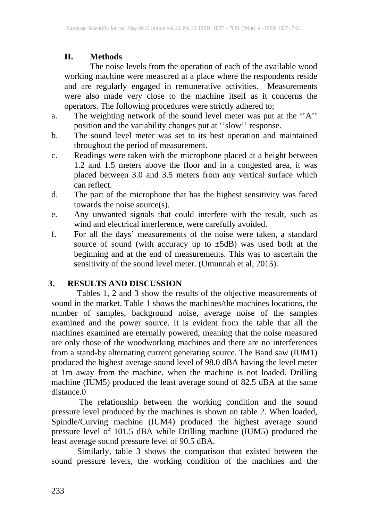## **II. Methods**

The noise levels from the operation of each of the available wood working machine were measured at a place where the respondents reside and are regularly engaged in remunerative activities. Measurements were also made very close to the machine itself as it concerns the operators. The following procedures were strictly adhered to;

- a. The weighting network of the sound level meter was put at the ''A'' position and the variability changes put at ''slow'' response.
- b. The sound level meter was set to its best operation and maintained throughout the period of measurement.
- c. Readings were taken with the microphone placed at a height between 1.2 and 1.5 meters above the floor and in a congested area, it was placed between 3.0 and 3.5 meters from any vertical surface which can reflect.
- d. The part of the microphone that has the highest sensitivity was faced towards the noise source(s).
- e. Any unwanted signals that could interfere with the result, such as wind and electrical interference, were carefully avoided.
- f. For all the days' measurements of the noise were taken, a standard source of sound (with accuracy up to ±5dB) was used both at the beginning and at the end of measurements. This was to ascertain the sensitivity of the sound level meter. (Umunnah et al, 2015).

## **3. RESULTS AND DISCUSSION**

Tables 1, 2 and 3 show the results of the objective measurements of sound in the market. Table 1 shows the machines/the machines locations, the number of samples, background noise, average noise of the samples examined and the power source. It is evident from the table that all the machines examined are eternally powered, meaning that the noise measured are only those of the woodworking machines and there are no interferences from a stand-by alternating current generating source. The Band saw (IUM1) produced the highest average sound level of 98.0 dBA having the level meter at 1m away from the machine, when the machine is not loaded. Drilling machine (IUM5) produced the least average sound of 82.5 dBA at the same distance.0

The relationship between the working condition and the sound pressure level produced by the machines is shown on table 2. When loaded, Spindle/Curving machine (IUM4) produced the highest average sound pressure level of 101.5 dBA while Drilling machine (IUM5) produced the least average sound pressure level of 90.5 dBA.

Similarly, table 3 shows the comparison that existed between the sound pressure levels, the working condition of the machines and the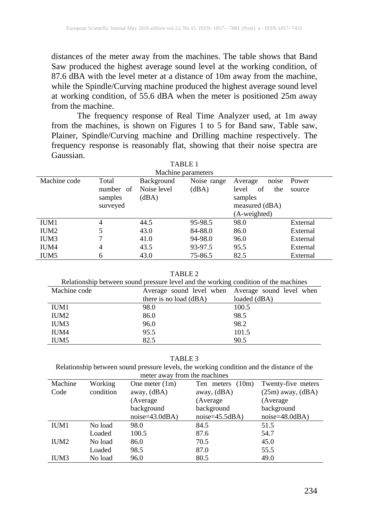distances of the meter away from the machines. The table shows that Band Saw produced the highest average sound level at the working condition, of 87.6 dBA with the level meter at a distance of 10m away from the machine, while the Spindle/Curving machine produced the highest average sound level at working condition, of 55.6 dBA when the meter is positioned 25m away from the machine.

The frequency response of Real Time Analyzer used, at 1m away from the machines, is shown on Figures 1 to 5 for Band saw, Table saw, Plainer, Spindle/Curving machine and Drilling machine respectively. The frequency response is reasonably flat, showing that their noise spectra are Gaussian.

TABLE 1

| .                  |                                           |                                           |                      |                                                                     |                 |  |  |  |
|--------------------|-------------------------------------------|-------------------------------------------|----------------------|---------------------------------------------------------------------|-----------------|--|--|--|
| Machine parameters |                                           |                                           |                      |                                                                     |                 |  |  |  |
| Machine code       | Total<br>number of<br>samples<br>surveyed | <b>Background</b><br>Noise level<br>(dBA) | Noise range<br>(dBA) | Average<br>noise<br>of<br>the<br>level<br>samples<br>measured (dBA) | Power<br>source |  |  |  |
|                    |                                           |                                           |                      | (A-weighted)                                                        |                 |  |  |  |
| IUM1               | 4                                         | 44.5                                      | 95-98.5              | 98.0                                                                | External        |  |  |  |
| IUM <sub>2</sub>   | 5                                         | 43.0                                      | 84-88.0              | 86.0                                                                | External        |  |  |  |
| IUM3               |                                           | 41.0                                      | 94-98.0              | 96.0                                                                | External        |  |  |  |
| IUM4               | 4                                         | 43.5                                      | 93-97.5              | 95.5                                                                | External        |  |  |  |
| IUM5               | 6                                         | 43.0                                      | 75-86.5              | 82.5                                                                | External        |  |  |  |

TABLE 2

| Relationship between sound pressure level and the working condition of the machines |                                                   |              |  |  |  |  |
|-------------------------------------------------------------------------------------|---------------------------------------------------|--------------|--|--|--|--|
| Machine code                                                                        | Average sound level when Average sound level when |              |  |  |  |  |
|                                                                                     | there is no load (dBA)                            | loaded (dBA) |  |  |  |  |
| IUM1                                                                                | 98.0                                              | 100.5        |  |  |  |  |
| IUM <sub>2</sub>                                                                    | 86.0                                              | 98.5         |  |  |  |  |
| IUM3                                                                                | 96.0                                              | 98.2         |  |  |  |  |
| IUM4                                                                                | 95.5                                              | 101.5        |  |  |  |  |
| IUM <sub>5</sub>                                                                    | 82.5                                              | 90.5         |  |  |  |  |

TABLE 3

Relationship between sound pressure levels, the working condition and the distance of the meter away from the machines

| Machine | Working   | One meter $(1m)$ | (10m)<br>Ten meters | Twenty-five meters    |  |  |  |
|---------|-----------|------------------|---------------------|-----------------------|--|--|--|
| Code    | condition | away, $(dBA)$    | away, (dBA)         | $(25m)$ away, $(dBA)$ |  |  |  |
|         |           | (Average         | (Average)           | (Average)             |  |  |  |
|         |           | background       | background          | background            |  |  |  |
|         |           | $noise=43.0dBA)$ | $noise=45.5dBA)$    | $noise=48.0dBA)$      |  |  |  |
| IUM1    | No load   | 98.0             | 84.5                | 51.5                  |  |  |  |
|         | Loaded    | 100.5            | 87.6                | 54.7                  |  |  |  |
| IUM2    | No load   | 86.0             | 70.5                | 45.0                  |  |  |  |
|         | Loaded    | 98.5             | 87.0                | 55.5                  |  |  |  |
| IUM3    | No load   | 96.0             | 80.5                | 49.0                  |  |  |  |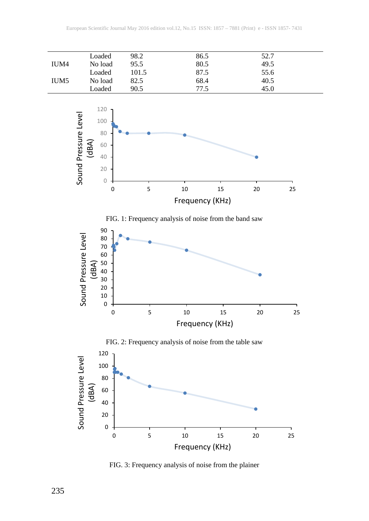



FIG. 3: Frequency analysis of noise from the plainer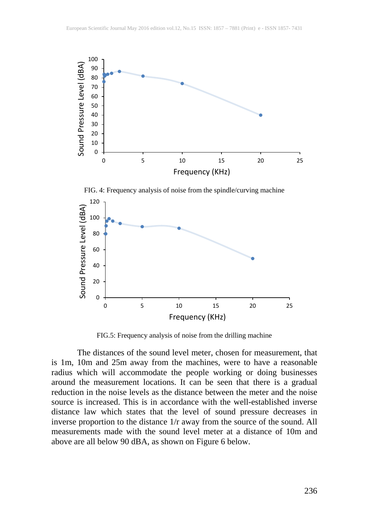

FIG. 4: Frequency analysis of noise from the spindle/curving machine



FIG.5: Frequency analysis of noise from the drilling machine

The distances of the sound level meter, chosen for measurement, that is 1m, 10m and 25m away from the machines, were to have a reasonable radius which will accommodate the people working or doing businesses around the measurement locations. It can be seen that there is a gradual reduction in the noise levels as the distance between the meter and the noise source is increased. This is in accordance with the well-established inverse distance law which states that the level of sound pressure decreases in inverse proportion to the distance 1/r away from the source of the sound. All measurements made with the sound level meter at a distance of 10m and above are all below 90 dBA, as shown on Figure 6 below.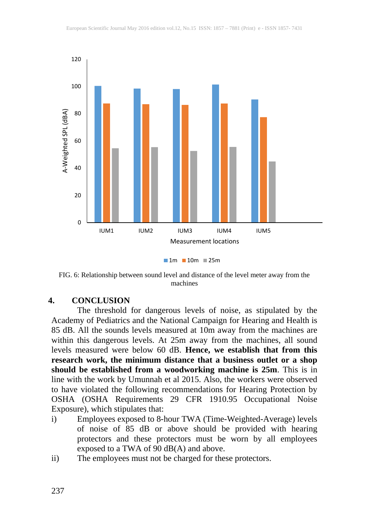

**1m 10m 25m** 

FIG. 6: Relationship between sound level and distance of the level meter away from the machines

#### **4. CONCLUSION**

The threshold for dangerous levels of noise, as stipulated by the Academy of Pediatrics and the National Campaign for Hearing and Health is 85 dB. All the sounds levels measured at 10m away from the machines are within this dangerous levels. At 25m away from the machines, all sound levels measured were below 60 dB. **Hence, we establish that from this research work, the minimum distance that a business outlet or a shop should be established from a woodworking machine is 25m**. This is in line with the work by Umunnah et al 2015. Also, the workers were observed to have violated the following recommendations for Hearing Protection by OSHA (OSHA Requirements 29 CFR 1910.95 Occupational Noise Exposure), which stipulates that:

- i) Employees exposed to 8-hour TWA (Time-Weighted-Average) levels of noise of 85 dB or above should be provided with hearing protectors and these protectors must be worn by all employees exposed to a TWA of 90 dB(A) and above.
- ii) The employees must not be charged for these protectors.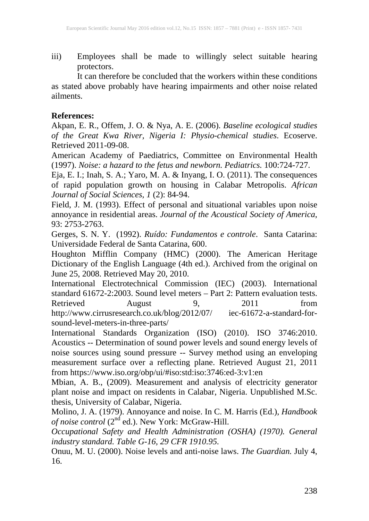iii) Employees shall be made to willingly select suitable hearing protectors.

It can therefore be concluded that the workers within these conditions as stated above probably have hearing impairments and other noise related ailments.

#### **References:**

Akpan, E. R., Offem, J. O. & Nya, A. E. (2006). *Baseline ecological studies of the Great Kwa River, Nigeria I: Physio-chemical studies*. Ecoserve. Retrieved 2011-09-08.

American Academy of Paediatrics, Committee on Environmental Health (1997). *Noise: a hazard to the fetus and newborn. Pediatrics.* 100:724-727.

Eja, E. I.; Inah, S. A.; Yaro, M. A. & Inyang, I. O. (2011). The consequences of rapid population growth on housing in Calabar Metropolis. *African Journal of Social Sciences*, *1* (2): 84-94.

Field, J. M. (1993). Effect of personal and situational variables upon noise annoyance in residential areas. *Journal of the Acoustical Society of America*, 93: 2753-2763.

Gerges, S. N. Y. (1992). *Ruído: Fundamentos e controle*. Santa Catarina: Universidade Federal de Santa Catarina, 600.

Houghton Mifflin Company (HMC) (2000). The American Heritage Dictionary of the English Language (4th ed.). Archived from the original on June 25, 2008. Retrieved May 20, 2010.

International Electrotechnical Commission (IEC) (2003). International standard 61672-2:2003. Sound level meters – Part 2: Pattern evaluation tests. Retrieved August 9, 2011 from http://www.cirrusresearch.co.uk/blog/2012/07/ iec-61672-a-standard-forsound-level-meters-in-three-parts/

International Standards Organization (ISO) (2010). ISO 3746:2010. Acoustics -- Determination of sound power levels and sound energy levels of noise sources using sound pressure -- Survey method using an enveloping measurement surface over a reflecting plane. Retrieved August 21, 2011 from https://www.iso.org/obp/ui/#iso:std:iso:3746:ed-3:v1:en

Mbian, A. B., (2009). Measurement and analysis of electricity generator plant noise and impact on residents in Calabar, Nigeria. Unpublished M.Sc. thesis, University of Calabar, Nigeria.

Molino, J. A. (1979). Annoyance and noise. In C. M. Harris (Ed.), *Handbook of noise control* (2nd ed.). New York: McGraw-Hill.

*Occupational Safety and Health Administration (OSHA) (1970). General industry standard. Table G-16, 29 CFR 1910.95.*

Onuu, M. U. (2000). Noise levels and anti-noise laws. *The Guardian.* July 4, 16.